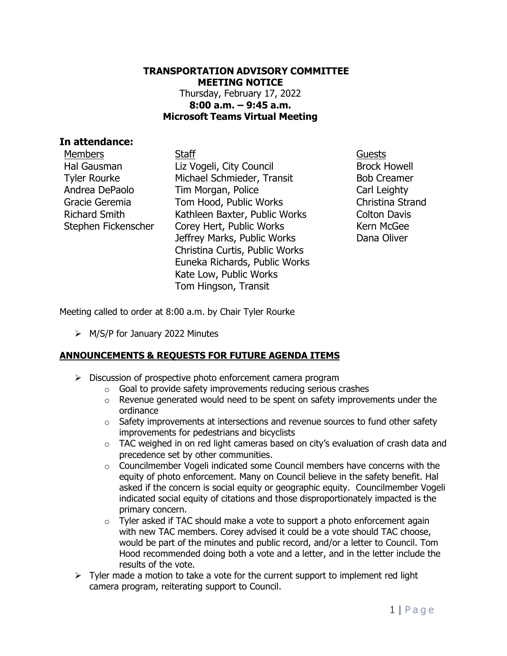#### **TRANSPORTATION ADVISORY COMMITTEE MEETING NOTICE** Thursday, February 17, 2022 **8:00 a.m. – 9:45 a.m. Microsoft Teams Virtual Meeting**

#### **In attendance:**

Members Staff Guests Hal Gausman Tyler Rourke Andrea DePaolo Gracie Geremia Richard Smith Stephen Fickenscher

Liz Vogeli, City Council Michael Schmieder, Transit Tim Morgan, Police Tom Hood, Public Works Kathleen Baxter, Public Works Corey Hert, Public Works Jeffrey Marks, Public Works Christina Curtis, Public Works Euneka Richards, Public Works Kate Low, Public Works Tom Hingson, Transit

Brock Howell Bob Creamer Carl Leighty Christina Strand Colton Davis Kern McGee Dana Oliver

Meeting called to order at 8:00 a.m. by Chair Tyler Rourke

➢ M/S/P for January 2022 Minutes

### **ANNOUNCEMENTS & REQUESTS FOR FUTURE AGENDA ITEMS**

- ➢ Discussion of prospective photo enforcement camera program
	- o Goal to provide safety improvements reducing serious crashes
	- $\circ$  Revenue generated would need to be spent on safety improvements under the ordinance
	- $\circ$  Safety improvements at intersections and revenue sources to fund other safety improvements for pedestrians and bicyclists
	- $\circ$  TAC weighed in on red light cameras based on city's evaluation of crash data and precedence set by other communities.
	- $\circ$  Councilmember Vogeli indicated some Council members have concerns with the equity of photo enforcement. Many on Council believe in the safety benefit. Hal asked if the concern is social equity or geographic equity. Councilmember Vogeli indicated social equity of citations and those disproportionately impacted is the primary concern.
	- o Tyler asked if TAC should make a vote to support a photo enforcement again with new TAC members. Corey advised it could be a vote should TAC choose, would be part of the minutes and public record, and/or a letter to Council. Tom Hood recommended doing both a vote and a letter, and in the letter include the results of the vote.
- $\triangleright$  Tyler made a motion to take a vote for the current support to implement red light camera program, reiterating support to Council.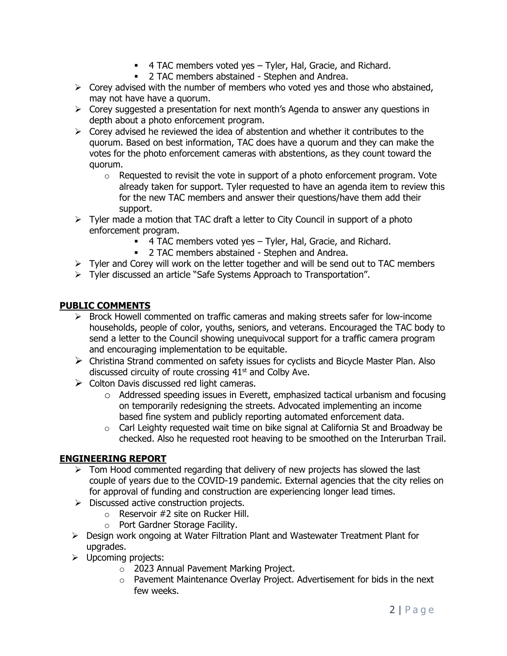- 4 TAC members voted yes Tyler, Hal, Gracie, and Richard.
- 2 TAC members abstained Stephen and Andrea.
- $\triangleright$  Corey advised with the number of members who voted yes and those who abstained, may not have have a quorum.
- ➢ Corey suggested a presentation for next month's Agenda to answer any questions in depth about a photo enforcement program.
- $\triangleright$  Corey advised he reviewed the idea of abstention and whether it contributes to the quorum. Based on best information, TAC does have a quorum and they can make the votes for the photo enforcement cameras with abstentions, as they count toward the quorum.
	- $\circ$  Requested to revisit the vote in support of a photo enforcement program. Vote already taken for support. Tyler requested to have an agenda item to review this for the new TAC members and answer their questions/have them add their support.
- $\triangleright$  Tyler made a motion that TAC draft a letter to City Council in support of a photo enforcement program.
	- 4 TAC members voted yes Tyler, Hal, Gracie, and Richard.
	- **2 TAC members abstained Stephen and Andrea.**
- $\triangleright$  Tyler and Corey will work on the letter together and will be send out to TAC members
- ➢ Tyler discussed an article "Safe Systems Approach to Transportation".

### **PUBLIC COMMENTS**

- $\triangleright$  Brock Howell commented on traffic cameras and making streets safer for low-income households, people of color, youths, seniors, and veterans. Encouraged the TAC body to send a letter to the Council showing unequivocal support for a traffic camera program and encouraging implementation to be equitable.
- ➢ Christina Strand commented on safety issues for cyclists and Bicycle Master Plan. Also discussed circuity of route crossing  $41<sup>st</sup>$  and Colby Ave.
- $\triangleright$  Colton Davis discussed red light cameras.
	- o Addressed speeding issues in Everett, emphasized tactical urbanism and focusing on temporarily redesigning the streets. Advocated implementing an income based fine system and publicly reporting automated enforcement data.
	- o Carl Leighty requested wait time on bike signal at California St and Broadway be checked. Also he requested root heaving to be smoothed on the Interurban Trail.

### **ENGINEERING REPORT**

- $\triangleright$  Tom Hood commented regarding that delivery of new projects has slowed the last couple of years due to the COVID-19 pandemic. External agencies that the city relies on for approval of funding and construction are experiencing longer lead times.
- ➢ Discussed active construction projects.
	- o Reservoir #2 site on Rucker Hill.
	- o Port Gardner Storage Facility.
- ➢ Design work ongoing at Water Filtration Plant and Wastewater Treatment Plant for upgrades.
- ➢ Upcoming projects:
	- o 2023 Annual Pavement Marking Project.
	- o Pavement Maintenance Overlay Project. Advertisement for bids in the next few weeks.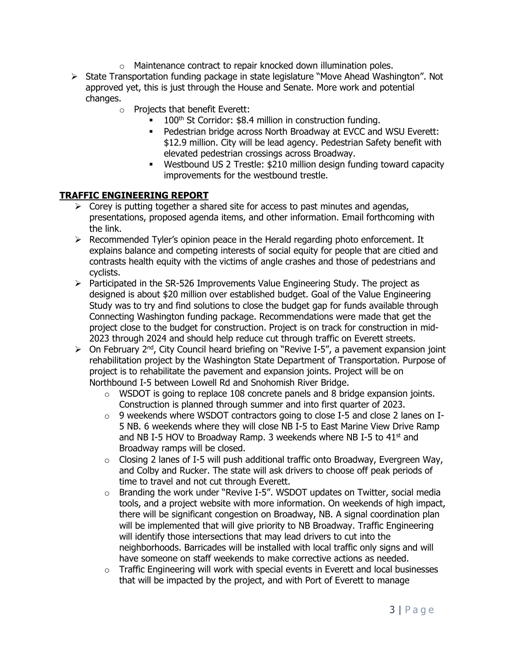- o Maintenance contract to repair knocked down illumination poles.
- ➢ State Transportation funding package in state legislature "Move Ahead Washington". Not approved yet, this is just through the House and Senate. More work and potential changes.
	- o Projects that benefit Everett:
		- 100<sup>th</sup> St Corridor: \$8.4 million in construction funding.
		- Pedestrian bridge across North Broadway at EVCC and WSU Everett: \$12.9 million. City will be lead agency. Pedestrian Safety benefit with elevated pedestrian crossings across Broadway.
		- Westbound US 2 Trestle: \$210 million design funding toward capacity improvements for the westbound trestle.

## **TRAFFIC ENGINEERING REPORT**

- $\triangleright$  Corey is putting together a shared site for access to past minutes and agendas, presentations, proposed agenda items, and other information. Email forthcoming with the link.
- $\triangleright$  Recommended Tyler's opinion peace in the Herald regarding photo enforcement. It explains balance and competing interests of social equity for people that are citied and contrasts health equity with the victims of angle crashes and those of pedestrians and cyclists.
- $\triangleright$  Participated in the SR-526 Improvements Value Engineering Study. The project as designed is about \$20 million over established budget. Goal of the Value Engineering Study was to try and find solutions to close the budget gap for funds available through Connecting Washington funding package. Recommendations were made that get the project close to the budget for construction. Project is on track for construction in mid-2023 through 2024 and should help reduce cut through traffic on Everett streets.
- ➢ On February 2nd, City Council heard briefing on "Revive I-5", a pavement expansion joint rehabilitation project by the Washington State Department of Transportation. Purpose of project is to rehabilitate the pavement and expansion joints. Project will be on Northbound I-5 between Lowell Rd and Snohomish River Bridge.
	- $\circ$  WSDOT is going to replace 108 concrete panels and 8 bridge expansion joints. Construction is planned through summer and into first quarter of 2023.
	- $\circ$  9 weekends where WSDOT contractors going to close I-5 and close 2 lanes on I-5 NB. 6 weekends where they will close NB I-5 to East Marine View Drive Ramp and NB I-5 HOV to Broadway Ramp. 3 weekends where NB I-5 to  $41<sup>st</sup>$  and Broadway ramps will be closed.
	- $\circ$  Closing 2 lanes of I-5 will push additional traffic onto Broadway, Evergreen Way, and Colby and Rucker. The state will ask drivers to choose off peak periods of time to travel and not cut through Everett.
	- o Branding the work under "Revive I-5". WSDOT updates on Twitter, social media tools, and a project website with more information. On weekends of high impact, there will be significant congestion on Broadway, NB. A signal coordination plan will be implemented that will give priority to NB Broadway. Traffic Engineering will identify those intersections that may lead drivers to cut into the neighborhoods. Barricades will be installed with local traffic only signs and will have someone on staff weekends to make corrective actions as needed.
	- o Traffic Engineering will work with special events in Everett and local businesses that will be impacted by the project, and with Port of Everett to manage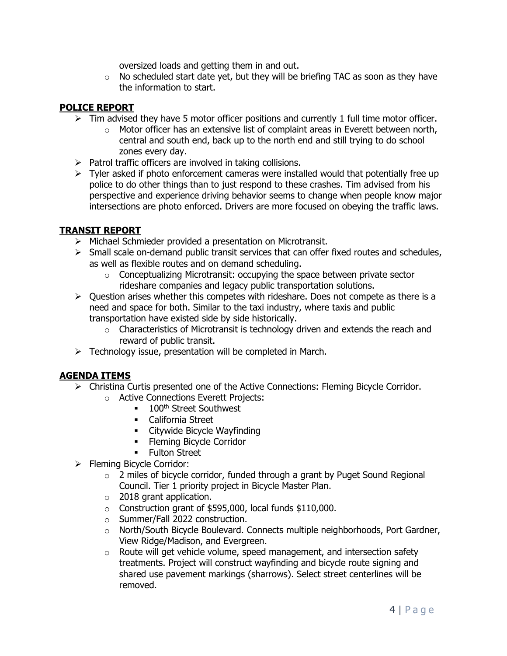oversized loads and getting them in and out.

 $\circ$  No scheduled start date yet, but they will be briefing TAC as soon as they have the information to start.

### **POLICE REPORT**

- $\triangleright$  Tim advised they have 5 motor officer positions and currently 1 full time motor officer.
	- $\circ$  Motor officer has an extensive list of complaint areas in Everett between north, central and south end, back up to the north end and still trying to do school zones every day.
- $\triangleright$  Patrol traffic officers are involved in taking collisions.
- $\triangleright$  Tyler asked if photo enforcement cameras were installed would that potentially free up police to do other things than to just respond to these crashes. Tim advised from his perspective and experience driving behavior seems to change when people know major intersections are photo enforced. Drivers are more focused on obeying the traffic laws.

# **TRANSIT REPORT**

- ➢ Michael Schmieder provided a presentation on Microtransit.
- $\triangleright$  Small scale on-demand public transit services that can offer fixed routes and schedules, as well as flexible routes and on demand scheduling.
	- o Conceptualizing Microtransit: occupying the space between private sector rideshare companies and legacy public transportation solutions.
- $\triangleright$  Ouestion arises whether this competes with rideshare. Does not compete as there is a need and space for both. Similar to the taxi industry, where taxis and public transportation have existed side by side historically.
	- o Characteristics of Microtransit is technology driven and extends the reach and reward of public transit.
- $\triangleright$  Technology issue, presentation will be completed in March.

# **AGENDA ITEMS**

- $\triangleright$  Christina Curtis presented one of the Active Connections: Fleming Bicycle Corridor.
	- o Active Connections Everett Projects:
		- 100<sup>th</sup> Street Southwest
		- California Street
		- Citywide Bicycle Wayfinding
		- **•** Fleming Bicycle Corridor
		- **•** Fulton Street
- ➢ Fleming Bicycle Corridor:
	- o 2 miles of bicycle corridor, funded through a grant by Puget Sound Regional Council. Tier 1 priority project in Bicycle Master Plan.
	- $\circ$  2018 grant application.
	- $\circ$  Construction grant of \$595,000, local funds \$110,000.
	- o Summer/Fall 2022 construction.
	- o North/South Bicycle Boulevard. Connects multiple neighborhoods, Port Gardner, View Ridge/Madison, and Evergreen.
	- o Route will get vehicle volume, speed management, and intersection safety treatments. Project will construct wayfinding and bicycle route signing and shared use pavement markings (sharrows). Select street centerlines will be removed.